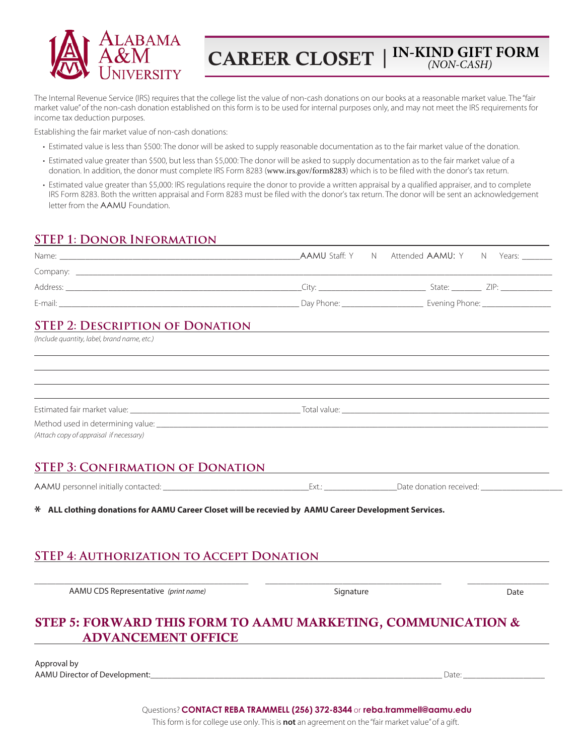

**CAREER CLOSET** | **IN-KIND GIFT FORM**  *(NON-CASH)*

The Internal Revenue Service (IRS) requires that the college list the value of non-cash donations on our books at a reasonable market value. The "fair market value" of the non-cash donation established on this form is to be used for internal purposes only, and may not meet the IRS requirements for income tax deduction purposes.

Establishing the fair market value of non-cash donations:

- Estimated value is less than \$500: The donor will be asked to supply reasonable documentation as to the fair market value of the donation.
- Estimated value greater than \$500, but less than \$5,000: The donor will be asked to supply documentation as to the fair market value of a donation. In addition, the donor must complete IRS Form 8283 (www.irs.gov/form8283) which is to be filed with the donor's tax return.
- Estimated value greater than \$5,000: IRS regulations require the donor to provide a written appraisal by a qualified appraiser, and to complete IRS Form 8283. Both the written appraisal and Form 8283 must be filed with the donor's tax return. The donor will be sent an acknowledgement letter from the AAMU Foundation.

## **STEP 1: Donor Information**

| <u>STEP 2: DESCRIPTION OF DONATION</u>                                                                                                                                                                                         |           |      |
|--------------------------------------------------------------------------------------------------------------------------------------------------------------------------------------------------------------------------------|-----------|------|
| (Include quantity, label, brand name, etc.)                                                                                                                                                                                    |           |      |
|                                                                                                                                                                                                                                |           |      |
|                                                                                                                                                                                                                                |           |      |
|                                                                                                                                                                                                                                |           |      |
| (Attach copy of appraisal if necessary)                                                                                                                                                                                        |           |      |
| <u>STEP 3: CONFIRMATION OF DONATION</u>                                                                                                                                                                                        |           |      |
| AAMU personnel initially contacted: example and the settem of the settem of the settem of the settem of the settem of the settem of the settem of the settem of the settem of the settem of the settem of the settem of the se |           |      |
| * ALL clothing donations for AAMU Career Closet will be recevied by AAMU Career Development Services.                                                                                                                          |           |      |
| STEP 4: AUTHORIZATION TO ACCEPT DONATION                                                                                                                                                                                       |           |      |
|                                                                                                                                                                                                                                |           |      |
| AAMU CDS Representative (print name)                                                                                                                                                                                           | Signature | Date |
|                                                                                                                                                                                                                                |           |      |
| STEP 5: FORWARD THIS FORM TO AAMU MARKETING, COMMUNICATION &                                                                                                                                                                   |           |      |
| <b>ADVANCEMENT OFFICE</b>                                                                                                                                                                                                      |           |      |

Approval by AAMU Director of Development:\_\_\_\_\_\_\_\_\_\_\_\_\_\_\_\_\_\_\_\_\_\_\_\_\_\_\_\_\_\_\_\_\_\_\_\_\_\_\_\_\_\_\_\_\_\_\_\_\_\_\_\_\_\_\_\_\_\_\_\_\_\_\_\_\_\_\_\_ Date: \_\_\_\_\_\_\_\_\_\_\_\_\_\_\_\_\_\_\_

Questions? **CONTACT REBA TRAMMELL (256) 372-8344** or **reba.trammell@aamu.edu** This form is for college use only. This is **not** an agreement on the "fair market value" of a gift.